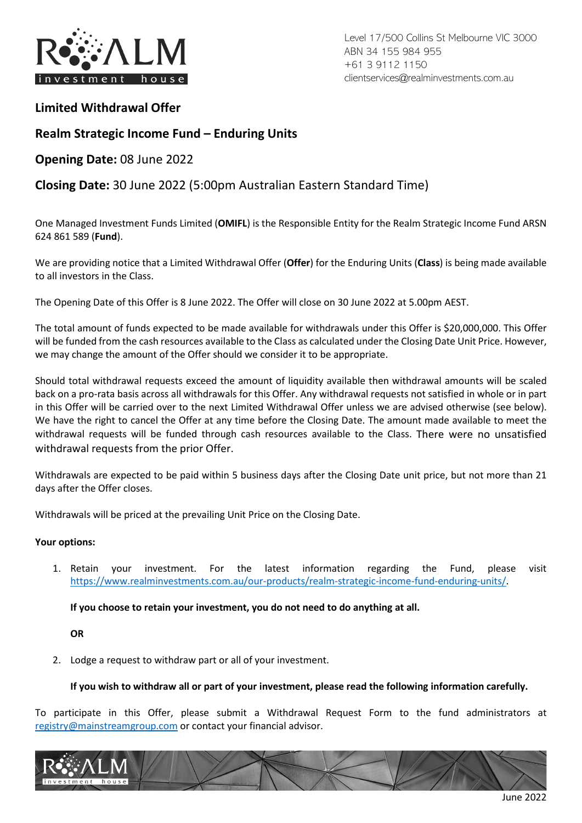

Level 17/500 Collins St Melbourne VIC 3000 ABN 34 155 984 955 +61 3 9112 1150 clientservices@realminvestments.com.au

## **Limited Withdrawal Offer**

## **Realm Strategic Income Fund – Enduring Units**

**Opening Date:** 08 June 2022

## **Closing Date:** 30 June 2022 (5:00pm Australian Eastern Standard Time)

One Managed Investment Funds Limited (**OMIFL**) is the Responsible Entity for the Realm Strategic Income Fund ARSN 624 861 589 (**Fund**).

We are providing notice that a Limited Withdrawal Offer (**Offer**) for the Enduring Units (**Class**) is being made available to all investors in the Class.

The Opening Date of this Offer is 8 June 2022. The Offer will close on 30 June 2022 at 5.00pm AEST.

The total amount of funds expected to be made available for withdrawals under this Offer is \$20,000,000. This Offer will be funded from the cash resources available to the Class as calculated under the Closing Date Unit Price. However, we may change the amount of the Offer should we consider it to be appropriate.

Should total withdrawal requests exceed the amount of liquidity available then withdrawal amounts will be scaled back on a pro-rata basis across all withdrawals for this Offer. Any withdrawal requests not satisfied in whole or in part in this Offer will be carried over to the next Limited Withdrawal Offer unless we are advised otherwise (see below). We have the right to cancel the Offer at any time before the Closing Date. The amount made available to meet the withdrawal requests will be funded through cash resources available to the Class. There were no unsatisfied withdrawal requests from the prior Offer.

Withdrawals are expected to be paid within 5 business days after the Closing Date unit price, but not more than 21 days after the Offer closes.

Withdrawals will be priced at the prevailing Unit Price on the Closing Date.

### **Your options:**

1. Retain your investment. For the latest information regarding the Fund, please visit [https://www.realminvestments.com.au/our-products/realm-strategic-income-fund-enduring-units/.](https://www.realminvestments.com.au/our-products/realm-strategic-income-fund-enduring-units/)

**If you choose to retain your investment, you do not need to do anything at all.** 

### **OR**

2. Lodge a request to withdraw part or all of your investment.

### **If you wish to withdraw all or part of your investment, please read the following information carefully.**

To participate in this Offer, please submit a Withdrawal Request Form to the fund administrators at [registry@mainstreamgroup.com](mailto:registry@mainstreamgroup.com) or contact your financial advisor.

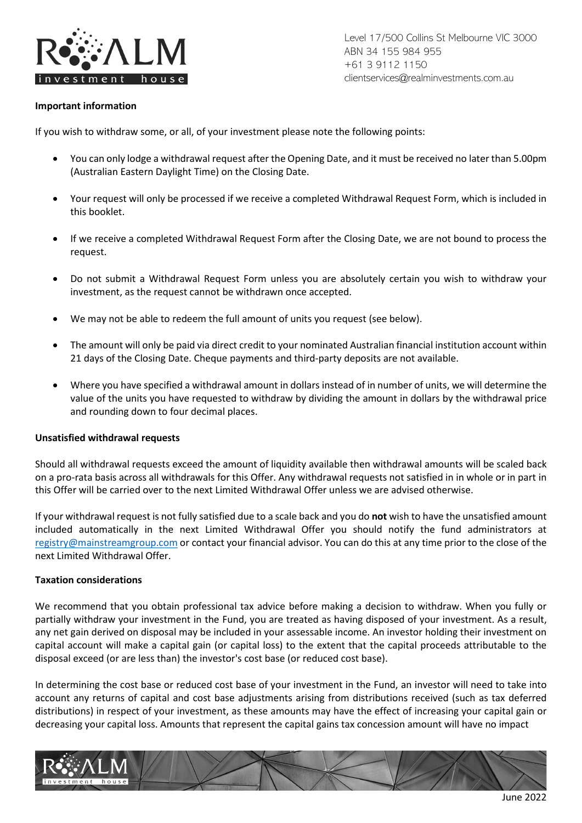

Level 17/500 Collins St Melbourne VIC 3000 ABN 34 155 984 955 +61 3 9112 1150 clientservices@realminvestments.com.au

### **Important information**

If you wish to withdraw some, or all, of your investment please note the following points:

- You can only lodge a withdrawal request after the Opening Date, and it must be received no later than 5.00pm (Australian Eastern Daylight Time) on the Closing Date.
- Your request will only be processed if we receive a completed Withdrawal Request Form, which is included in this booklet.
- If we receive a completed Withdrawal Request Form after the Closing Date, we are not bound to process the request.
- Do not submit a Withdrawal Request Form unless you are absolutely certain you wish to withdraw your investment, as the request cannot be withdrawn once accepted.
- We may not be able to redeem the full amount of units you request (see below).
- The amount will only be paid via direct credit to your nominated Australian financial institution account within 21 days of the Closing Date. Cheque payments and third-party deposits are not available.
- Where you have specified a withdrawal amount in dollars instead of in number of units, we will determine the value of the units you have requested to withdraw by dividing the amount in dollars by the withdrawal price and rounding down to four decimal places.

### **Unsatisfied withdrawal requests**

Should all withdrawal requests exceed the amount of liquidity available then withdrawal amounts will be scaled back on a pro-rata basis across all withdrawals for this Offer. Any withdrawal requests not satisfied in in whole or in part in this Offer will be carried over to the next Limited Withdrawal Offer unless we are advised otherwise.

If your withdrawal request is not fully satisfied due to a scale back and you do **not** wish to have the unsatisfied amount included automatically in the next Limited Withdrawal Offer you should notify the fund administrators at [registry@mainstreamgroup.com](mailto:registry@mainstreamgroup.com) or contact your financial advisor. You can do this at any time prior to the close of the next Limited Withdrawal Offer.

#### **Taxation considerations**

We recommend that you obtain professional tax advice before making a decision to withdraw. When you fully or partially withdraw your investment in the Fund, you are treated as having disposed of your investment. As a result, any net gain derived on disposal may be included in your assessable income. An investor holding their investment on capital account will make a capital gain (or capital loss) to the extent that the capital proceeds attributable to the disposal exceed (or are less than) the investor's cost base (or reduced cost base).

In determining the cost base or reduced cost base of your investment in the Fund, an investor will need to take into account any returns of capital and cost base adjustments arising from distributions received (such as tax deferred distributions) in respect of your investment, as these amounts may have the effect of increasing your capital gain or decreasing your capital loss. Amounts that represent the capital gains tax concession amount will have no impact

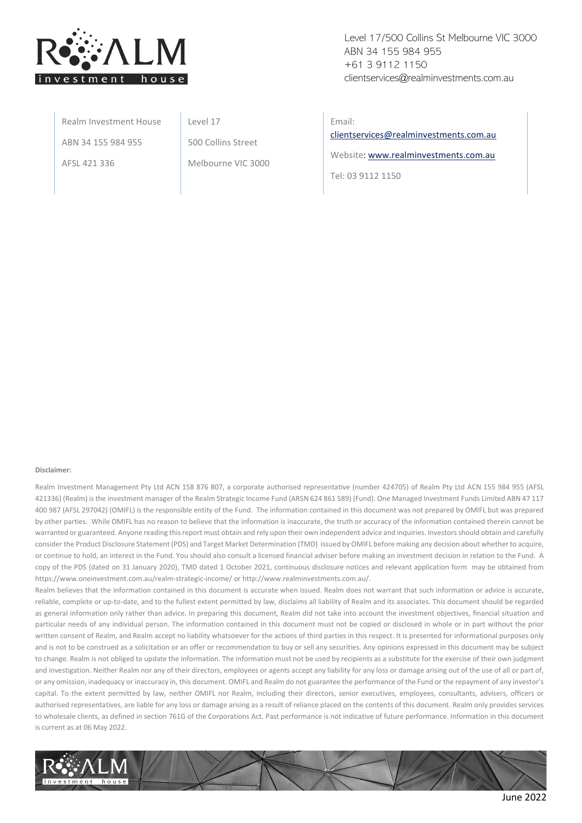

Level 17/500 Collins St Melbourne VIC 3000 ABN 34 155 984 955 +61 3 9112 1150 clientservices@realminvestments.com.au

Realm Investment House ABN 34 155 984 955 AFSL 421 336

Level 17

500 Collins Street

Melbourne VIC 3000

Email:

[clientservices@realminvestments.com.au](mailto:clientservices@realminvestments.com.au)

Website[: www.realminvestments.com.au](http://www.realminvestments.com.au/)

Tel: 03 9112 1150

#### **Disclaimer:**

Realm Investment Management Pty Ltd ACN 158 876 807, a corporate authorised representative (number 424705) of Realm Pty Ltd ACN 155 984 955 (AFSL 421336) (Realm) is the investment manager of the Realm Strategic Income Fund (ARSN 624 861 589) (Fund). One Managed Investment Funds Limited ABN 47 117 400 987 (AFSL 297042) (OMIFL) is the responsible entity of the Fund. The information contained in this document was not prepared by OMIFL but was prepared by other parties. While OMIFL has no reason to believe that the information is inaccurate, the truth or accuracy of the information contained therein cannot be warranted or guaranteed. Anyone reading this report must obtain and rely upon their own independent advice and inquiries. Investors should obtain and carefully consider the Product Disclosure Statement (PDS) and Target Market Determination (TMD) issued by OMIFL before making any decision about whether to acquire, or continue to hold, an interest in the Fund. You should also consult a licensed financial adviser before making an investment decision in relation to the Fund. A copy of the PDS (dated on 31 January 2020), TMD dated 1 October 2021, continuous disclosure notices and relevant application form may be obtained from https://www.oneinvestment.com.au/realm-strategic-income/ or http://www.realminvestments.com.au/.

Realm believes that the information contained in this document is accurate when issued. Realm does not warrant that such information or advice is accurate, reliable, complete or up-to-date, and to the fullest extent permitted by law, disclaims all liability of Realm and its associates. This document should be regarded as general information only rather than advice. In preparing this document, Realm did not take into account the investment objectives, financial situation and particular needs of any individual person. The information contained in this document must not be copied or disclosed in whole or in part without the prior written consent of Realm, and Realm accept no liability whatsoever for the actions of third parties in this respect. It is presented for informational purposes only and is not to be construed as a solicitation or an offer or recommendation to buy or sell any securities. Any opinions expressed in this document may be subject to change. Realm is not obliged to update the information. The information must not be used by recipients as a substitute for the exercise of their own judgment and investigation. Neither Realm nor any of their directors, employees or agents accept any liability for any loss or damage arising out of the use of all or part of, or any omission, inadequacy or inaccuracy in, this document. OMIFL and Realm do not guarantee the performance of the Fund or the repayment of any investor's capital. To the extent permitted by law, neither OMIFL nor Realm, including their directors, senior executives, employees, consultants, advisers, officers or authorised representatives, are liable for any loss or damage arising as a result of reliance placed on the contents of this document. Realm only provides services to wholesale clients, as defined in section 761G of the Corporations Act. Past performance is not indicative of future performance. Information in this document is current as at 06 May 2022.